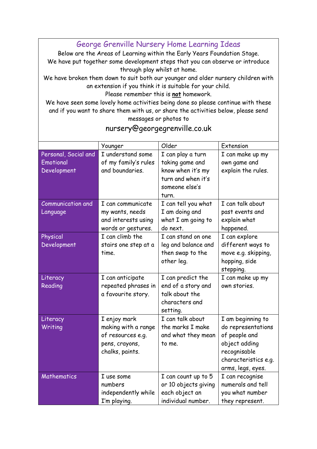George Grenville Nursery Home Learning Ideas

Below are the Areas of Learning within the Early Years Foundation Stage. We have put together some development steps that you can observe or introduce through play whilst at home.

We have broken them down to suit both our younger and older nursery children with an extension if you think it is suitable for your child.

Please remember this is **not** homework.

We have seen some lovely home activities being done so please continue with these and if you want to share them with us, or share the activities below, please send messages or photos to

|                          | Younger              | Older                | Extension            |
|--------------------------|----------------------|----------------------|----------------------|
| Personal, Social and     | I understand some    | I can play a turn    | I can make up my     |
| Emotional                | of my family's rules | taking game and      | own game and         |
| Development              | and boundaries.      | know when it's my    | explain the rules.   |
|                          |                      | turn and when it's   |                      |
|                          |                      | someone else's       |                      |
|                          |                      | turn.                |                      |
| <b>Communication and</b> | I can communicate    | I can tell you what  | I can talk about     |
| Language                 | my wants, needs      | I am doing and       | past events and      |
|                          | and interests using  | what I am going to   | explain what         |
|                          | words or gestures.   | do next.             | happened.            |
| Physical                 | I can climb the      | I can stand on one   | I can explore        |
| Development              | stairs one step at a | leg and balance and  | different ways to    |
|                          | time.                | then swap to the     | move e.g. skipping,  |
|                          |                      | other leg.           | hopping, side        |
|                          |                      |                      | stepping.            |
| Literacy                 | I can anticipate     | I can predict the    | I can make up my     |
| Reading                  | repeated phrases in  | end of a story and   | own stories.         |
|                          | a favourite story.   | talk about the       |                      |
|                          |                      | characters and       |                      |
|                          |                      | setting.             |                      |
| Literacy                 | I enjoy mark         | I can talk about     | I am beginning to    |
| Writing                  | making with a range  | the marks I make     | do representations   |
|                          | of resources e.g.    | and what they mean   | of people and        |
|                          | pens, crayons,       | to me.               | object adding        |
|                          | chalks, paints.      |                      | recognisable         |
|                          |                      |                      | characteristics e.g. |
|                          |                      |                      | arms, legs, eyes.    |
| Mathematics              | I use some           | I can count up to 5  | I can recognise      |
|                          | numbers              | or 10 objects giving | numerals and tell    |
|                          | independently while  | each object an       | you what number      |
|                          | I'm playing.         | individual number.   | they represent.      |

## nursery@georgegrenville.co.uk